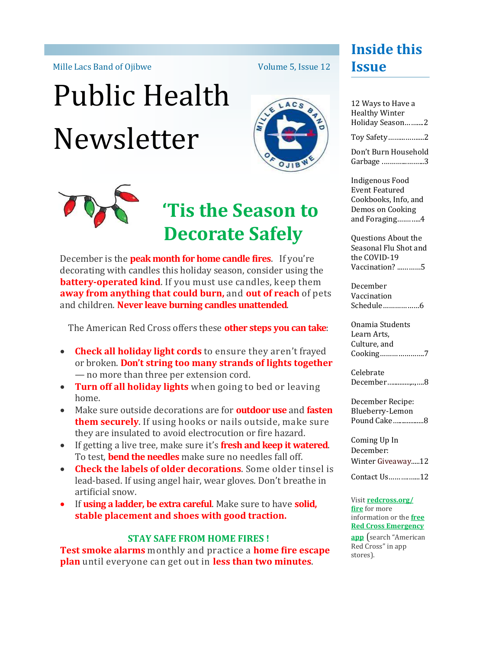Mille Lacs Band of Ojibwe

# Public Health Newsletter



Volume 5, Issue 12



### **'Tis the Season to Decorate Safely**

December is the **peak month for home candle fires**.If you're decorating with candles this holiday season, consider using the **battery-operated kind**. If you must use candles, keep them **away from anything that could burn,** and **out of reach** of pets and children. **Never leave burning candles unattended**.

The American Red Cross offers these **other steps you can take**:

- **Check all holiday light cords** to ensure they aren't frayed or broken. **Don't string too many strands of lights together**  — no more than three per extension cord.
- **Turn off all holiday lights** when going to bed or leaving home.
- Make sure outside decorations are for **outdoor use** and **fasten them securely**. If using hooks or nails outside, make sure they are insulated to avoid electrocution or fire hazard.
- If getting a live tree, make sure it's **fresh and keep it watered**. To test, **bend the needles** make sure no needles fall off.
- **Check the labels of older decorations**. Some older tinsel is lead-based. If using angel hair, wear gloves. Don't breathe in artificial snow.
- If **using a ladder, be extra careful**. Make sure to have **solid, stable placement and shoes with good traction.**

#### **STAY SAFE FROM HOME FIRES !**

**Test smoke alarms** monthly and practice a **home fire escape plan** until everyone can get out in **less than two minutes**.

#### **Inside this Issue**

| 12 Ways to Have a<br><b>Healthy Winter</b> |  |
|--------------------------------------------|--|
| Holiday Season2                            |  |
| Toy Safety2                                |  |

Don't Burn Household Garbage .………...……...3

Indigenous Food Event Featured Cookbooks, Info, and Demos on Cooking and Foraging….……..4

Questions About the Seasonal Flu Shot and the COVID-19 Vaccination? ...………5

December Vaccination Schedule………………6

Onamia Students Learn Arts, Culture, and Cooking………………….7

Celebrate December…..........,..,….8

December Recipe: Blueberry-Lemon Pound Cake…...............8

Coming Up In December: Winter Giveaway.....12

Contact Us……….…...12

Visit **[redcross.org/](http://www.redcross.org/fire) [fire](http://www.redcross.org/fire)** for more information or the **[free](https://www.redcross.org/get-help/how-to-prepare-for-emergencies/mobile-apps.html)  [Red Cross Emergency](https://www.redcross.org/get-help/how-to-prepare-for-emergencies/mobile-apps.html)** 

**[app](https://www.redcross.org/get-help/how-to-prepare-for-emergencies/mobile-apps.html)** (search "American Red Cross" in app stores).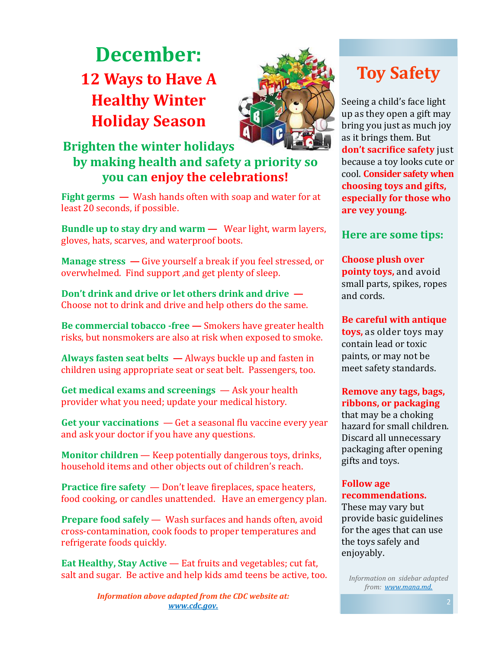### **December: 12 Ways to Have A Healthy Winter Holiday Season**



#### **Brighten the winter holidays by making health and safety a priority so you can enjoy the celebrations!**

**Fight germs —** Wash hands often with soap and water for at least 20 seconds, if possible.

**Bundle up to stay dry and warm —** Wear light, warm layers, gloves, hats, scarves, and waterproof boots.

**Manage stress —** Give yourself a break if you feel stressed, or overwhelmed. Find support ,and get plenty of sleep.

**Don't drink and drive or let others drink and drive —** Choose not to drink and drive and help others do the same.

**Be commercial tobacco -free —** Smokers have greater health risks, but nonsmokers are also at risk when exposed to smoke.

**Always fasten seat belts —** Always buckle up and fasten in children using appropriate seat or seat belt. Passengers, too.

**Get medical exams and screenings** — Ask your health provider what you need; update your medical history.

**Get your vaccinations** — Get a seasonal flu vaccine every year and ask your doctor if you have any questions.

**Monitor children** — Keep potentially dangerous toys, drinks, household items and other objects out of children's reach.

**Practice fire safety** — Don't leave fireplaces, space heaters, food cooking, or candles unattended. Have an emergency plan.

**Prepare food safely** — Wash surfaces and hands often, avoid cross-contamination, cook foods to proper temperatures and refrigerate foods quickly.

**Eat Healthy, Stay Active** — Eat fruits and vegetables; cut fat, salt and sugar. Be active and help kids amd teens be active, too.

> *Information above adapted from the CDC website at: www.cdc.gov.*

### **Toy Safety**

Seeing a child's face light up as they open a gift may bring you just as much joy as it brings them. But **don't sacrifice safety** just because a toy looks cute or cool. **Consider safety when choosing toys and gifts, especially for those who are vey young.**

#### **Here are some tips:**

**Choose plush over pointy toys,** and avoid small parts, spikes, ropes and cords.

**Be careful with antique toys,** as older toys may contain lead or toxic paints, or may not be meet safety standards.

**Remove any tags, bags, ribbons, or packaging**  that may be a choking hazard for small children. Discard all unnecessary packaging after opening gifts and toys.

#### **Follow age recommendations.**

These may vary but provide basic guidelines for the ages that can use the toys safely and enjoyably.

*Information on sidebar adapted from: www.mana.md.*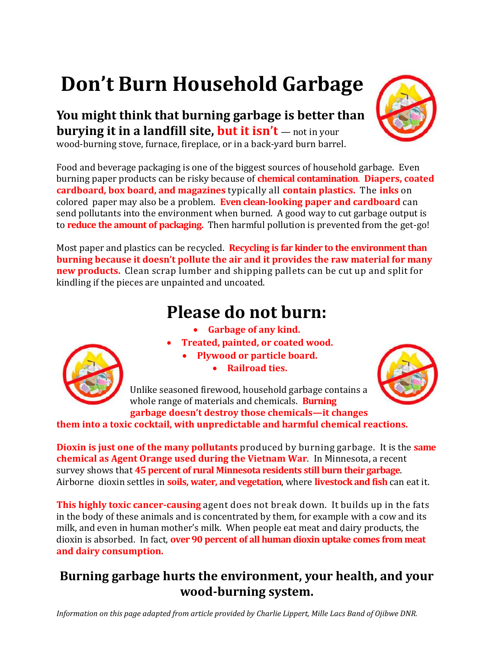## **Don't Burn Household Garbage**

**You might think that burning garbage is better than burying it in a landfill site, but it isn't** — not in your

wood-burning stove, furnace, fireplace, or in a back-yard burn barrel.

Food and beverage packaging is one of the biggest sources of household garbage. Even burning paper products can be risky because of **chemical contamination**. **Diapers, coated cardboard, box board, and magazines** typically all **contain plastics.** The **inks** on colored paper may also be a problem. **Even clean-looking paper and cardboard** can send pollutants into the environment when burned. A good way to cut garbage output is to **reduce the amount of packaging.** Then harmful pollution is prevented from the get-go!

Most paper and plastics can be recycled. **Recycling is far kinder to the environment than burning because it doesn't pollute the air and it provides the raw material for many new products.** Clean scrap lumber and shipping pallets can be cut up and split for kindling if the pieces are unpainted and uncoated.

### **Please do not burn:**

- **Garbage of any kind.**
- **Treated, painted, or coated wood.**
	- **Plywood or particle board.**
		- **Railroad ties.**

Unlike seasoned firewood, household garbage contains a whole range of materials and chemicals. **Burning garbage doesn't destroy those chemicals—it changes** 

**them into a toxic cocktail, with unpredictable and harmful chemical reactions.**

**Dioxin is just one of the many pollutants** produced by burning garbage. It is the **same chemical as Agent Orange used during the Vietnam War**. In Minnesota, a recent survey shows that **45 percent of rural Minnesota residents still burn their garbage**. Airborne dioxin settles in **soils, water, and vegetation**, where **livestock and fish** can eat it.

**This highly toxic cancer-causing** agent does not break down. It builds up in the fats in the body of these animals and is concentrated by them, for example with a cow and its milk, and even in human mother's milk. When people eat meat and dairy products, the dioxin is absorbed. In fact, **over 90 percent of all human dioxin uptake comes from meat and dairy consumption.**

#### **Burning garbage hurts the environment, your health, and your wood-burning system.**

*Information on this page adapted from article provided by Charlie Lippert, Mille Lacs Band of Ojibwe DNR.* 





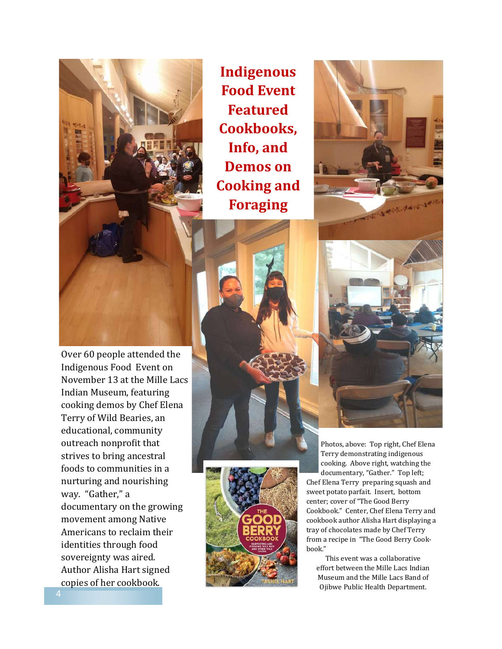

Indigenous Food Event on November 13 at the Mille Lacs

Indian Museum, featuring cooking demos by Chef Elena Terry of Wild Bearies, an

**Indigenous Food Event Featured Cookbooks, Info, and Demos on Cooking and Foraging** 



educational, community outreach nonprofit that strives to bring ancestral foods to communities in a nurturing and nourishing way. "Gather," a documentary on the growing movement among Native Americans to reclaim their identities through food sovereignty was aired. Author Alisha Hart signed copies of her cookbook.

Photos, above: Top right, Chef Elena Terry demonstrating indigenous cooking. Above right, watching the documentary, "Gather." Top left; Chef Elena Terry preparing squash and sweet potato parfait. Insert, bottom center; cover of "The Good Berry Cookbook." Center, Chef Elena Terry and cookbook author Alisha Hart displaying a tray of chocolates made by Chef Terry from a recipe in "The Good Berry Cookbook."

This event was a collaborative effort between the Mille Lacs Indian Museum and the Mille Lacs Band of Ojibwe Public Health Department.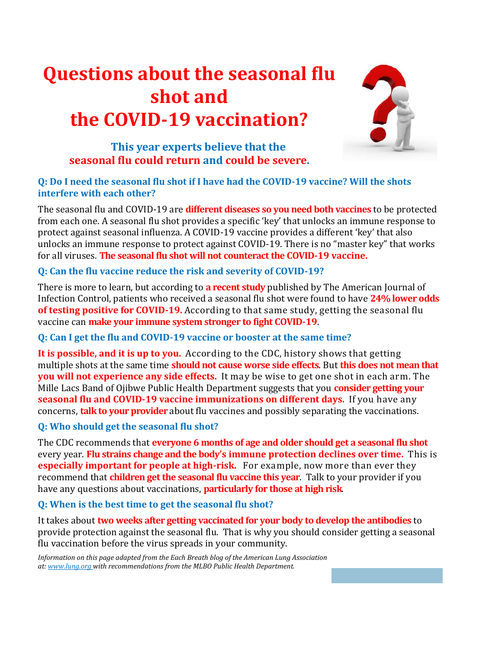### **Questions about the seasonal flu shot and the COVID-19 vaccination?**



#### **This year experts believe that the seasonal flu could return and could be severe.**

#### **Q: Do I need the seasonal flu shot if I have had the COVID-19 vaccine? Will the shots interfere with each other?**

The seasonal flu and COVID-19 are **different diseases so you need both vaccines** to be protected from each one. A seasonal flu shot provides a specific 'key' that unlocks an immune response to protect against seasonal influenza. A COVID-19 vaccine provides a different 'key' that also unlocks an immune response to protect against COVID-19. There is no "master key" that works for all viruses. **The seasonal flu shot will not counteract the COVID-19 vaccine.**

#### **Q: Can the flu vaccine reduce the risk and severity of COVID-19?**

There is more to learn, but according to **a recent study** published by The American Journal of Infection Control, patients who received a seasonal flu shot were found to have **24% lower odds of testing positive for COVID-19.** According to that same study, getting the seasonal flu vaccine can **make your immune system stronger to fight COVID-19**.

#### **Q: Can I get the flu and COVID-19 vaccine or booster at the same time?**

**It is possible, and it is up to you.** According to the CDC, history shows that getting multiple shots at the same time **should not cause worse side effects**. But **this does not mean that you will not experience any side effects.** It may be wise to get one shot in each arm. The Mille Lacs Band of Ojibwe Public Health Department suggests that you **consider getting your seasonal flu and COVID-19 vaccine immunizations on different days.** If you have any concerns, **talk to your provider** about flu vaccines and possibly separating the vaccinations.

#### **Q: Who should get the seasonal flu shot?**

The CDC recommends that **everyone 6 months of age and older should get a seasonal flu shot**  every year. **Flu strains change and the body's immune protection declines over time.** This is **especially important for people at high-risk.** For example, now more than ever they recommend that **children get the seasonal flu vaccine this year**. Talk to your provider if you have any questions about vaccinations, **particularly for those at high risk**.

#### **Q: When is the best time to get the seasonal flu shot?**

It takes about **two weeks after getting vaccinated for your body to develop the antibodies** to provide protection against the seasonal flu. That is why you should consider getting a seasonal flu vaccination before the virus spreads in your community.

*Information on this page adapted from the Each Breath blog of the American Lung Association at: www.lung.org with recommendations from the MLBO Public Health Department.*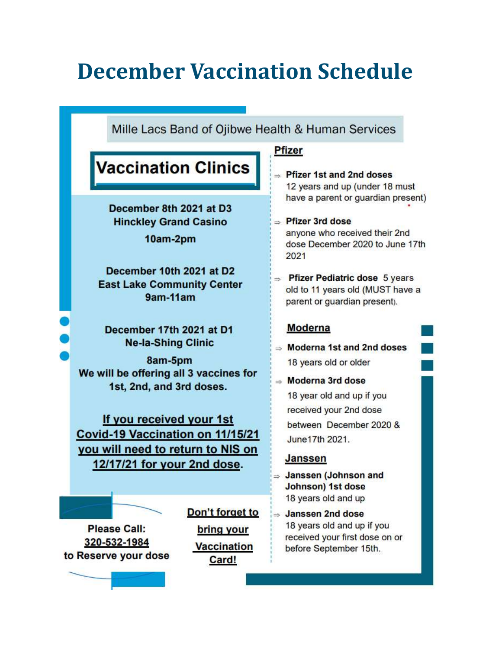### **December Vaccination Schedule**

Mille Lacs Band of Ojibwe Health & Human Services

### **Vaccination Clinics**

December 8th 2021 at D3 **Hinckley Grand Casino** 

10am-2pm

December 10th 2021 at D2 **East Lake Community Center** 9am-11am

December 17th 2021 at D1 **Ne-la-Shing Clinic** 

8am-5pm We will be offering all 3 vaccines for 1st, 2nd, and 3rd doses.

If you received your 1st Covid-19 Vaccination on 11/15/21 you will need to return to NIS on 12/17/21 for your 2nd dose.

**Please Call:** 320-532-1984 to Reserve your dose Don't forget to bring your **Vaccination** Card!

#### **Pfizer**

- $\Rightarrow$  Pfizer 1st and 2nd doses 12 years and up (under 18 must have a parent or guardian present)
- $\Rightarrow$  Pfizer 3rd dose anvone who received their 2nd dose December 2020 to June 17th 2021
- $\Rightarrow$  Pfizer Pediatric dose 5 years old to 11 years old (MUST have a parent or guardian present).

#### **Moderna**

 $\Rightarrow$  Moderna 1st and 2nd doses 18 years old or older

 $\Rightarrow$  Moderna 3rd dose 18 year old and up if you received your 2nd dose between December 2020 & June 17th 2021.

#### **Janssen**

- $\Rightarrow$  Janssen (Johnson and **Johnson) 1st dose** 18 years old and up
- ⇒ Janssen 2nd dose 18 years old and up if you received your first dose on or before September 15th.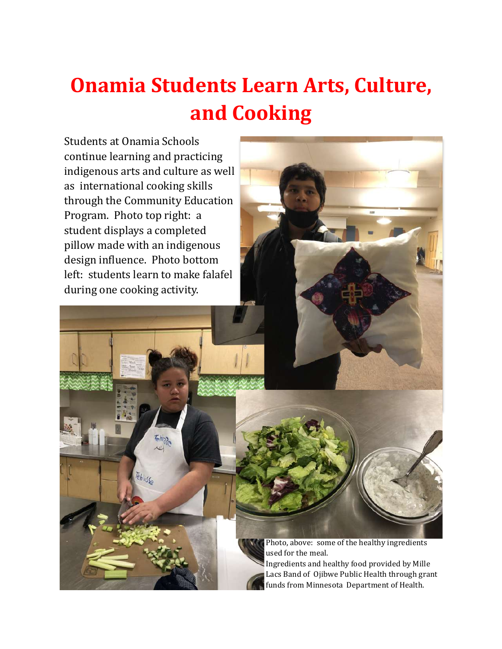### **Onamia Students Learn Arts, Culture, and Cooking**

Students at Onamia Schools continue learning and practicing indigenous arts and culture as well as international cooking skills through the Community Education Program. Photo top right: a student displays a completed pillow made with an indigenous design influence. Photo bottom left: students learn to make falafel during one cooking activity.

isc.

Photo, above: some of the healthy ingredients used for the meal.

Ingredients and healthy food provided by Mille Lacs Band of Ojibwe Public Health through grant funds from Minnesota Department of Health.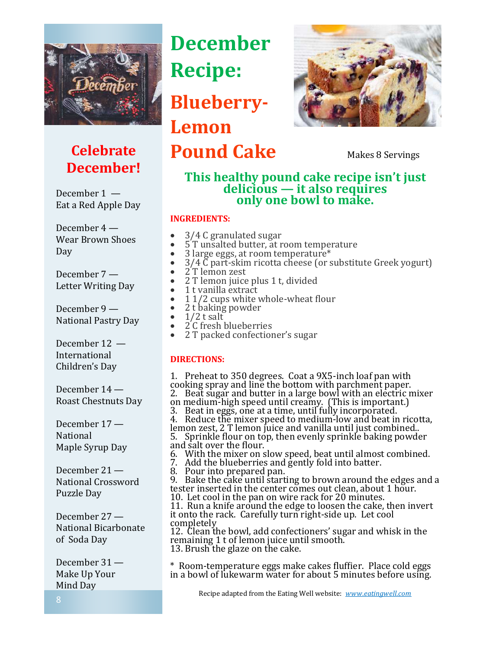

### **Celebrate December!**

December 1 — Eat a Red Apple Day

December 4 — Wear Brown Shoes Day

December 7 — Letter Writing Day

December 9 — National Pastry Day

December 12 — International Children's Day

December 14 — Roast Chestnuts Day

December 17 — National Maple Syrup Day

December 21 — National Crossword Puzzle Day

December 27 — National Bicarbonate of Soda Day

December 31 — Make Up Your Mind Day

### **December Recipe:**

**Blueberry-Lemon** 

**Pound Cake** Makes 8 Servings



#### **This healthy pound cake recipe isn't just delicious — it also requires only one bowl to make.**

#### **INGREDIENTS:**

- 3/4 C granulated sugar
- 5 T unsalted butter, at room temperature
- 3 large eggs, at room temperature\*
- 3/4 C part-skim ricotta cheese (or substitute Greek yogurt)
- $\bar{2}$ T lemon zest<br>• 2 T lemon juice
- 2 T lemon juice plus 1 t, divided<br>• 1 t vanilla extract
- 1 t vanilla extract<br>• 1 1/2 cups white y
- $11/2$  cups white whole-wheat flour
- 2 t baking powder<br>• 1/2 t salt
- $1/2$  t salt
- 2<sup>'</sup>C fresh blueberries
- 2 T packed confectioner's sugar

#### **DIRECTIONS:**

1. Preheat to 350 degrees. Coat a 9X5-inch loaf pan with cooking spray and line the bottom with parchment paper. 2. Beat sugar and butter in a large bowl with an electric mixer on medium-high speed until creamy. (This is important.) 3. Beat in eggs, one at a time, until fully incorporated. 4. Reduce the mixer speed to medium-low and beat in ricotta, lemon zest, 2 T lemon juice and vanilla until just combined.. 5. Sprinkle flour on top, then evenly sprinkle baking powder and salt over the flour. 6. With the mixer on slow speed, beat until almost combined. 7. Add the blueberries and gently fold into batter. 8. Pour into prepared pan. 9. Bake the cake until starting to brown around the edges and a tester inserted in the center comes out clean, about 1 hour. 10. Let cool in the pan on wire rack for 20 minutes. 11. Run a knife around the edge to loosen the cake, then invert it onto the rack. Carefully turn right-side up. Let cool completely 12. Clean the bowl, add confectioners' sugar and whisk in the remaining 1 t of lemon juice until smooth. 13. Brush the glaze on the cake.

\* Room-temperature eggs make cakes fluffier. Place cold eggs in a bowl of lukewarm water for about 5 minutes before using.